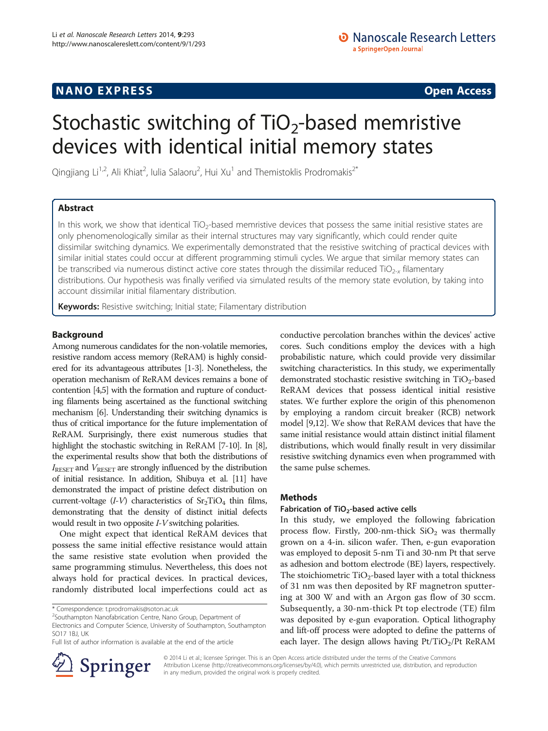# **NANO EXPRESS** Open Access and the set of the set of the set of the set of the set of the set of the set of the set of the set of the set of the set of the set of the set of the set of the set of the set of the set of the

# Stochastic switching of  $TiO<sub>2</sub>$ -based memristive devices with identical initial memory states

Qingjiang Li<sup>1,2</sup>, Ali Khiat<sup>2</sup>, Iulia Salaoru<sup>2</sup>, Hui Xu<sup>1</sup> and Themistoklis Prodromakis<sup>2\*</sup>

# Abstract

In this work, we show that identical  $TiO<sub>2</sub>$ -based memristive devices that possess the same initial resistive states are only phenomenologically similar as their internal structures may vary significantly, which could render quite dissimilar switching dynamics. We experimentally demonstrated that the resistive switching of practical devices with similar initial states could occur at different programming stimuli cycles. We argue that similar memory states can be transcribed via numerous distinct active core states through the dissimilar reduced TiO<sub>2-x</sub> filamentary distributions. Our hypothesis was finally verified via simulated results of the memory state evolution, by taking into account dissimilar initial filamentary distribution.

Keywords: Resistive switching; Initial state; Filamentary distribution

# Background

Among numerous candidates for the non-volatile memories, resistive random access memory (ReRAM) is highly considered for its advantageous attributes [[1](#page-4-0)-[3](#page-4-0)]. Nonetheless, the operation mechanism of ReRAM devices remains a bone of contention [\[4,5](#page-4-0)] with the formation and rupture of conducting filaments being ascertained as the functional switching mechanism [\[6\]](#page-4-0). Understanding their switching dynamics is thus of critical importance for the future implementation of ReRAM. Surprisingly, there exist numerous studies that highlight the stochastic switching in ReRAM [\[7-10\]](#page-4-0). In [\[8](#page-4-0)], the experimental results show that both the distributions of  $I_{\text{RESET}}$  and  $V_{\text{RESET}}$  are strongly influenced by the distribution of initial resistance. In addition, Shibuya et al. [[11\]](#page-4-0) have demonstrated the impact of pristine defect distribution on current-voltage  $(I-V)$  characteristics of  $Sr<sub>2</sub>TiO<sub>4</sub>$  thin films, demonstrating that the density of distinct initial defects would result in two opposite *I-V* switching polarities.

One might expect that identical ReRAM devices that possess the same initial effective resistance would attain the same resistive state evolution when provided the same programming stimulus. Nevertheless, this does not always hold for practical devices. In practical devices, randomly distributed local imperfections could act as

Full list of author information is available at the end of the article



conductive percolation branches within the devices' active cores. Such conditions employ the devices with a high probabilistic nature, which could provide very dissimilar switching characteristics. In this study, we experimentally demonstrated stochastic resistive switching in  $TiO<sub>2</sub>$ -based ReRAM devices that possess identical initial resistive states. We further explore the origin of this phenomenon by employing a random circuit breaker (RCB) network model [[9](#page-4-0),[12](#page-4-0)]. We show that ReRAM devices that have the same initial resistance would attain distinct initial filament distributions, which would finally result in very dissimilar resistive switching dynamics even when programmed with the same pulse schemes.

# **Methods**

# Fabrication of TiO<sub>2</sub>-based active cells

In this study, we employed the following fabrication process flow. Firstly, 200-nm-thick  $SiO<sub>2</sub>$  was thermally grown on a 4-in. silicon wafer. Then, e-gun evaporation was employed to deposit 5-nm Ti and 30-nm Pt that serve as adhesion and bottom electrode (BE) layers, respectively. The stoichiometric  $TiO<sub>2</sub>$ -based layer with a total thickness of 31 nm was then deposited by RF magnetron sputtering at 300 W and with an Argon gas flow of 30 sccm. Subsequently, a 30-nm-thick Pt top electrode (TE) film was deposited by e-gun evaporation. Optical lithography and lift-off process were adopted to define the patterns of each layer. The design allows having  $Pt/TiO_2/Pt$  ReRAM

© 2014 Li et al.; licensee Springer. This is an Open Access article distributed under the terms of the Creative Commons Attribution License [\(http://creativecommons.org/licenses/by/4.0\)](http://creativecommons.org/licenses/by/4.0), which permits unrestricted use, distribution, and reproduction in any medium, provided the original work is properly credited.

<sup>\*</sup> Correspondence: [t.prodromakis@soton.ac.uk](mailto:t.prodromakis@soton.ac.uk) <sup>2</sup>

<sup>&</sup>lt;sup>2</sup>Southampton Nanofabrication Centre, Nano Group, Department of Electronics and Computer Science, University of Southampton, Southampton SO17 1BJ, UK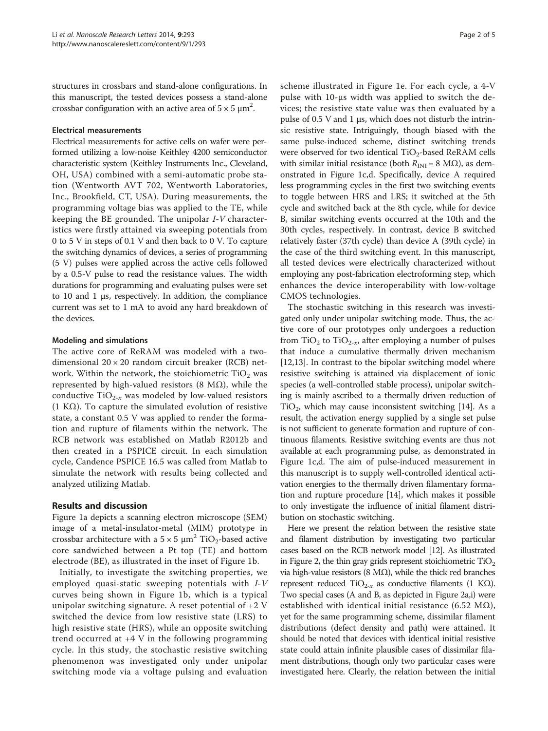structures in crossbars and stand-alone configurations. In this manuscript, the tested devices possess a stand-alone crossbar configuration with an active area of  $5 \times 5 \ \mathrm{\mu m}^2$ .

#### Electrical measurements

Electrical measurements for active cells on wafer were performed utilizing a low-noise Keithley 4200 semiconductor characteristic system (Keithley Instruments Inc., Cleveland, OH, USA) combined with a semi-automatic probe station (Wentworth AVT 702, Wentworth Laboratories, Inc., Brookfield, CT, USA). During measurements, the programming voltage bias was applied to the TE, while keeping the BE grounded. The unipolar I-V characteristics were firstly attained via sweeping potentials from 0 to 5 V in steps of 0.1 V and then back to 0 V. To capture the switching dynamics of devices, a series of programming (5 V) pulses were applied across the active cells followed by a 0.5-V pulse to read the resistance values. The width durations for programming and evaluating pulses were set to 10 and 1 μs, respectively. In addition, the compliance current was set to 1 mA to avoid any hard breakdown of the devices.

### Modeling and simulations

The active core of ReRAM was modeled with a twodimensional  $20 \times 20$  random circuit breaker (RCB) network. Within the network, the stoichiometric  $TiO<sub>2</sub>$  was represented by high-valued resistors (8 MΩ), while the conductive  $TiO_{2-x}$  was modeled by low-valued resistors (1 K $\Omega$ ). To capture the simulated evolution of resistive state, a constant 0.5 V was applied to render the formation and rupture of filaments within the network. The RCB network was established on Matlab R2012b and then created in a PSPICE circuit. In each simulation cycle, Candence PSPICE 16.5 was called from Matlab to simulate the network with results being collected and analyzed utilizing Matlab.

## Results and discussion

Figure [1a](#page-2-0) depicts a scanning electron microscope (SEM) image of a metal-insulator-metal (MIM) prototype in crossbar architecture with a  $5 \times 5 \mu m^2$  TiO<sub>2</sub>-based active core sandwiched between a Pt top (TE) and bottom electrode (BE), as illustrated in the inset of Figure [1](#page-2-0)b.

Initially, to investigate the switching properties, we employed quasi-static sweeping potentials with I-V curves being shown in Figure [1](#page-2-0)b, which is a typical unipolar switching signature. A reset potential of +2 V switched the device from low resistive state (LRS) to high resistive state (HRS), while an opposite switching trend occurred at +4 V in the following programming cycle. In this study, the stochastic resistive switching phenomenon was investigated only under unipolar switching mode via a voltage pulsing and evaluation

scheme illustrated in Figure [1](#page-2-0)e. For each cycle, a 4-V pulse with 10-μs width was applied to switch the devices; the resistive state value was then evaluated by a pulse of 0.5 V and 1 μs, which does not disturb the intrinsic resistive state. Intriguingly, though biased with the same pulse-induced scheme, distinct switching trends were observed for two identical  $TiO<sub>2</sub>$ -based ReRAM cells with similar initial resistance (both  $R_{\text{INI}} = 8 \text{ M}\Omega$ ), as demonstrated in Figure [1](#page-2-0)c,d. Specifically, device A required less programming cycles in the first two switching events to toggle between HRS and LRS; it switched at the 5th cycle and switched back at the 8th cycle, while for device B, similar switching events occurred at the 10th and the 30th cycles, respectively. In contrast, device B switched relatively faster (37th cycle) than device A (39th cycle) in the case of the third switching event. In this manuscript, all tested devices were electrically characterized without employing any post-fabrication electroforming step, which enhances the device interoperability with low-voltage CMOS technologies.

The stochastic switching in this research was investigated only under unipolar switching mode. Thus, the active core of our prototypes only undergoes a reduction from  $TiO<sub>2</sub>$  to  $TiO<sub>2-x</sub>$ , after employing a number of pulses that induce a cumulative thermally driven mechanism [[12,13\]](#page-4-0). In contrast to the bipolar switching model where resistive switching is attained via displacement of ionic species (a well-controlled stable process), unipolar switching is mainly ascribed to a thermally driven reduction of  $TiO<sub>2</sub>$ , which may cause inconsistent switching [\[14\]](#page-4-0). As a result, the activation energy supplied by a single set pulse is not sufficient to generate formation and rupture of continuous filaments. Resistive switching events are thus not available at each programming pulse, as demonstrated in Figure [1](#page-2-0)c,d. The aim of pulse-induced measurement in this manuscript is to supply well-controlled identical activation energies to the thermally driven filamentary formation and rupture procedure [\[14\]](#page-4-0), which makes it possible to only investigate the influence of initial filament distribution on stochastic switching.

Here we present the relation between the resistive state and filament distribution by investigating two particular cases based on the RCB network model [\[12](#page-4-0)]. As illustrated in Figure [2](#page-3-0), the thin gray grids represent stoichiometric  $TiO<sub>2</sub>$ via high-value resistors (8 MΩ), while the thick red branches represent reduced TiO<sub>2-x</sub> as conductive filaments (1 KΩ). Two special cases (A and B, as depicted in Figure [2](#page-3-0)a,i) were established with identical initial resistance (6.52 M $\Omega$ ), yet for the same programming scheme, dissimilar filament distributions (defect density and path) were attained. It should be noted that devices with identical initial resistive state could attain infinite plausible cases of dissimilar filament distributions, though only two particular cases were investigated here. Clearly, the relation between the initial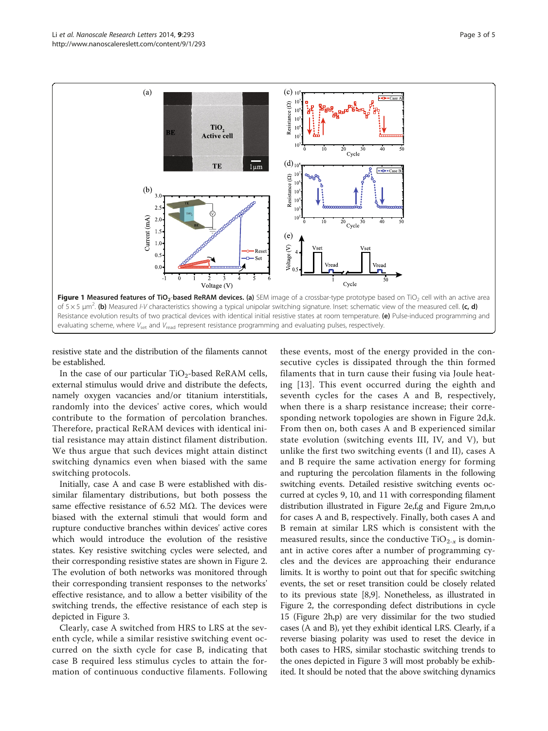<span id="page-2-0"></span>

resistive state and the distribution of the filaments cannot be established.

In the case of our particular  $TiO_2$ -based ReRAM cells, external stimulus would drive and distribute the defects, namely oxygen vacancies and/or titanium interstitials, randomly into the devices' active cores, which would contribute to the formation of percolation branches. Therefore, practical ReRAM devices with identical initial resistance may attain distinct filament distribution. We thus argue that such devices might attain distinct switching dynamics even when biased with the same switching protocols.

Initially, case A and case B were established with dissimilar filamentary distributions, but both possess the same effective resistance of 6.52 MΩ. The devices were biased with the external stimuli that would form and rupture conductive branches within devices' active cores which would introduce the evolution of the resistive states. Key resistive switching cycles were selected, and their corresponding resistive states are shown in Figure [2](#page-3-0). The evolution of both networks was monitored through their corresponding transient responses to the networks' effective resistance, and to allow a better visibility of the switching trends, the effective resistance of each step is depicted in Figure [3.](#page-3-0)

Clearly, case A switched from HRS to LRS at the seventh cycle, while a similar resistive switching event occurred on the sixth cycle for case B, indicating that case B required less stimulus cycles to attain the formation of continuous conductive filaments. Following

these events, most of the energy provided in the consecutive cycles is dissipated through the thin formed filaments that in turn cause their fusing via Joule heating [[13](#page-4-0)]. This event occurred during the eighth and seventh cycles for the cases A and B, respectively, when there is a sharp resistance increase; their corresponding network topologies are shown in Figure [2d](#page-3-0),k. From then on, both cases A and B experienced similar state evolution (switching events III, IV, and V), but unlike the first two switching events (I and II), cases A and B require the same activation energy for forming and rupturing the percolation filaments in the following switching events. Detailed resistive switching events occurred at cycles 9, 10, and 11 with corresponding filament distribution illustrated in Figure [2](#page-3-0)e,f,g and Figure [2m](#page-3-0),n,o for cases A and B, respectively. Finally, both cases A and B remain at similar LRS which is consistent with the measured results, since the conductive  $TiO_{2-x}$  is dominant in active cores after a number of programming cycles and the devices are approaching their endurance limits. It is worthy to point out that for specific switching events, the set or reset transition could be closely related to its previous state [\[8,9](#page-4-0)]. Nonetheless, as illustrated in Figure [2](#page-3-0), the corresponding defect distributions in cycle 15 (Figure [2](#page-3-0)h,p) are very dissimilar for the two studied cases (A and B), yet they exhibit identical LRS. Clearly, if a reverse biasing polarity was used to reset the device in both cases to HRS, similar stochastic switching trends to the ones depicted in Figure [3](#page-3-0) will most probably be exhibited. It should be noted that the above switching dynamics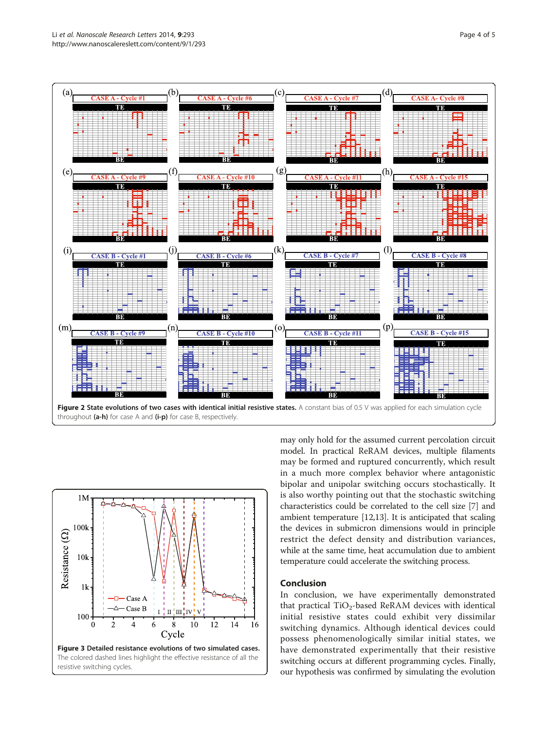<span id="page-3-0"></span>



may only hold for the assumed current percolation circuit model. In practical ReRAM devices, multiple filaments may be formed and ruptured concurrently, which result in a much more complex behavior where antagonistic bipolar and unipolar switching occurs stochastically. It is also worthy pointing out that the stochastic switching characteristics could be correlated to the cell size [\[7](#page-4-0)] and ambient temperature [\[12,13](#page-4-0)]. It is anticipated that scaling the devices in submicron dimensions would in principle restrict the defect density and distribution variances, while at the same time, heat accumulation due to ambient temperature could accelerate the switching process.

#### Conclusion

In conclusion, we have experimentally demonstrated that practical  $TiO<sub>2</sub>$ -based ReRAM devices with identical initial resistive states could exhibit very dissimilar switching dynamics. Although identical devices could possess phenomenologically similar initial states, we have demonstrated experimentally that their resistive switching occurs at different programming cycles. Finally, our hypothesis was confirmed by simulating the evolution